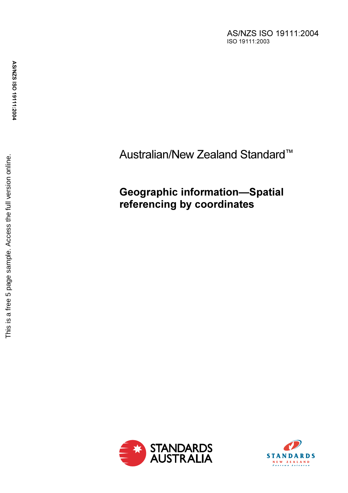AS/NZS ISO 19111:2004 ISO 19111:2003

# Australian/New Zealand Standard<sup>™</sup>

## Geographic information—Spatial referencing by coordinates



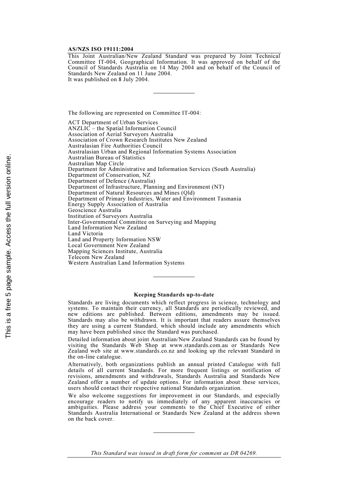#### AS/NZS ISO 19111:2004

This Joint Australian/New Zealand Standard was prepared by Joint Technical Committee IT-004, Geographical Information. It was approved on behalf of the Council of Standards Australia on 14 May 2004 and on behalf of the Council of Standards New Zealand on 11 June 2004. It was published on 8 July 2004.

The following are represented on Committee IT-004:

ACT Department of Urban Services ANZLIC – the Spatial Information Council Association of Aerial Surveyors Australia Association of Crown Research Institutes New Zealand Australasian Fire Authorities Council Australasian Urban and Regional Information Systems Association Australian Bureau of Statistics Australian Map Circle Department for Administrative and Information Services (South Australia) Department of Conservation, NZ Department of Defence (Australia) Department of Infrastructure, Planning and Environment (NT) Department of Natural Resources and Mines (Qld) Department of Primary Industries, Water and Environment Tasmania Energy Supply Association of Australia Geoscience Australia Institution of Surveyors Australia Inter-Governmental Committee on Surveying and Mapping Land Information New Zealand Land Victoria Land and Property Information NSW Local Government New Zealand Mapping Sciences Institute, Australia Telecom New Zealand Western Australian Land Information Systems

#### Keeping Standards up-to-date

Standards are living documents which reflect progress in science, technology and systems. To maintain their currency, all Standards are periodically reviewed, and new editions are published. Between editions, amendments may be issued. Standards may also be withdrawn. It is important that readers assure themselves they are using a current Standard, which should include any amendments which may have been published since the Standard was purchased.

Detailed information about joint Australian/New Zealand Standards can be found by visiting the Standards Web Shop at www.standards.com.au or Standards New Zealand web site at www.standards.co.nz and looking up the relevant Standard in the on-line catalogue.

Alternatively, both organizations publish an annual printed Catalogue with full details of all current Standards. For more frequent listings or notification of revisions, amendments and withdrawals, Standards Australia and Standards New Zealand offer a number of update options. For information about these services, users should contact their respective national Standards organization.

We also welcome suggestions for improvement in our Standards, and especially encourage readers to notify us immediately of any apparent inaccuracies or ambiguities. Please address your comments to the Chief Executive of either Standards Australia International or Standards New Zealand at the address shown on the back cover.

This Standard was issued in draft form for comment as DR 04269.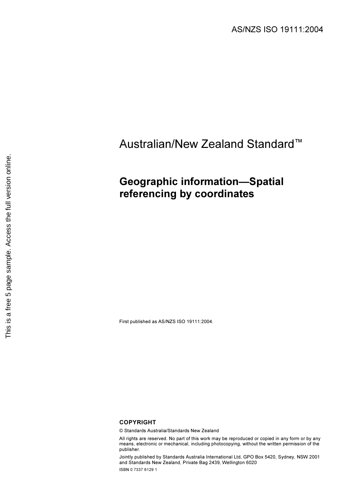# Australian/New Zealand Standard™

## Geographic information—Spatial referencing by coordinates

First published as AS/NZS ISO 19111:2004.

### COPYRIGHT

© Standards Australia/Standards New Zealand

All rights are reserved. No part of this work may be reproduced or copied in any form or by any means, electronic or mechanical, including photocopying, without the written permission of the publisher.

Jointly published by Standards Australia International Ltd, GPO Box 5420, Sydney, NSW 2001 and Standards New Zealand, Private Bag 2439, Wellington 6020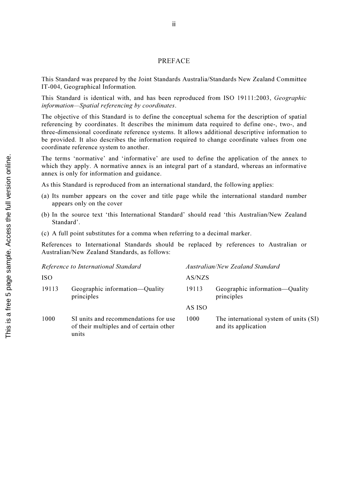### PREFACE

This Standard was prepared by the Joint Standards Australia/Standards New Zealand Committee IT-004, Geographical Information.

This Standard is identical with, and has been reproduced from ISO 19111:2003, Geographic information—Spatial referencing by coordinates.

The objective of this Standard is to define the conceptual schema for the description of spatial referencing by coordinates. It describes the minimum data required to define one-, two-, and three-dimensional coordinate reference systems. It allows additional descriptive information to be provided. It also describes the information required to change coordinate values from one coordinate reference system to another.

The terms 'normative' and 'informative' are used to define the application of the annex to which they apply. A normative annex is an integral part of a standard, whereas an informative annex is only for information and guidance.

As this Standard is reproduced from an international standard, the following applies:

- (a) Its number appears on the cover and title page while the international standard number appears only on the cover
- (b) In the source text 'this International Standard' should read 'this Australian/New Zealand Standard'.
- (c) A full point substitutes for a comma when referring to a decimal marker.

References to International Standards should be replaced by references to Australian or Australian/New Zealand Standards, as follows:

| Reference to International Standard |                                                                                          | Australian/New Zealand Standard |                                                               |
|-------------------------------------|------------------------------------------------------------------------------------------|---------------------------------|---------------------------------------------------------------|
| <b>ISO</b>                          |                                                                                          | AS/NZS                          |                                                               |
| 19113                               | Geographic information—Quality<br>principles                                             | 19113                           | Geographic information—Quality<br>principles                  |
|                                     |                                                                                          | AS ISO                          |                                                               |
| 1000                                | SI units and recommendations for use<br>of their multiples and of certain other<br>units | 1000                            | The international system of units (SI)<br>and its application |

ii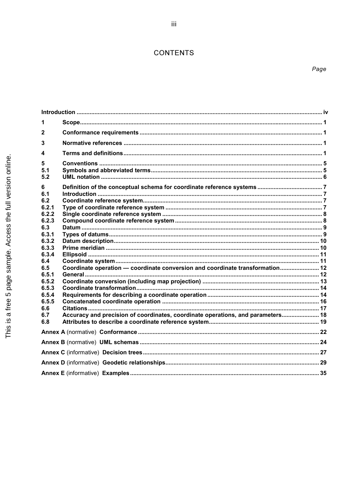## CONTENTS

| 1                                                                                                             |  |  |  |  |
|---------------------------------------------------------------------------------------------------------------|--|--|--|--|
| 2                                                                                                             |  |  |  |  |
| 3                                                                                                             |  |  |  |  |
| 4                                                                                                             |  |  |  |  |
| 5<br>5.1<br>5.2                                                                                               |  |  |  |  |
| 6<br>6.1<br>6.2<br>6.2.1<br>6.2.2                                                                             |  |  |  |  |
| 6.2.3<br>6.3<br>6.3.1<br>6.3.2                                                                                |  |  |  |  |
| 6.3.3<br>6.3.4<br>6.4<br>Coordinate operation — coordinate conversion and coordinate transformation 12<br>6.5 |  |  |  |  |
| 6.5.1<br>6.5.2<br>6.5.3<br>6.5.4                                                                              |  |  |  |  |
| 6.5.5<br>6.6<br>Accuracy and precision of coordinates, coordinate operations, and parameters 18<br>6.7<br>6.8 |  |  |  |  |
|                                                                                                               |  |  |  |  |
|                                                                                                               |  |  |  |  |
|                                                                                                               |  |  |  |  |
|                                                                                                               |  |  |  |  |
|                                                                                                               |  |  |  |  |